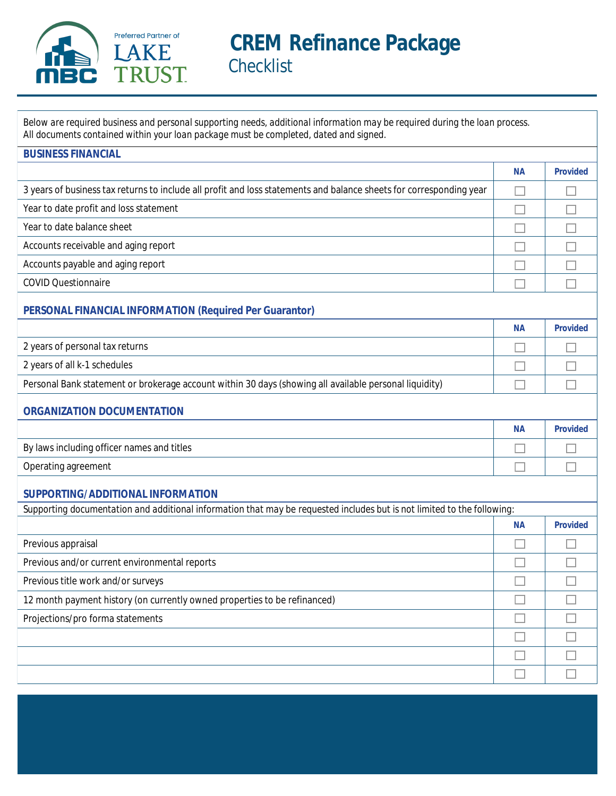

# **CREM Refinance Package Checklist**

Below are required business and personal supporting needs, additional information may be required during the loan process. All documents contained within your loan package must be completed, dated and signed.

| <b>BUSINESS FINANCIAL</b>                                                                                               |           |                 |
|-------------------------------------------------------------------------------------------------------------------------|-----------|-----------------|
|                                                                                                                         | <b>NA</b> | <b>Provided</b> |
| 3 years of business tax returns to include all profit and loss statements and balance sheets for corresponding year     |           |                 |
| Year to date profit and loss statement                                                                                  |           |                 |
| Year to date balance sheet                                                                                              |           |                 |
| <b>Accounts receivable and aging report</b>                                                                             |           |                 |
| Accounts payable and aging report                                                                                       |           |                 |
| <b>COVID Questionnaire</b>                                                                                              |           |                 |
| <b>PERSONAL FINANCIAL INFORMATION (Required Per Guarantor)</b>                                                          |           |                 |
|                                                                                                                         | <b>NA</b> | <b>Provided</b> |
| 2 years of personal tax returns                                                                                         |           |                 |
| 2 years of all k-1 schedules                                                                                            |           |                 |
| Personal Bank statement or brokerage account within 30 days (showing all available personal liquidity)                  |           |                 |
| <b>ORGANIZATION DOCUMENTATION</b>                                                                                       |           |                 |
|                                                                                                                         | <b>NA</b> | <b>Provided</b> |
| By laws including officer names and titles                                                                              |           |                 |
| <b>Operating agreement</b>                                                                                              |           |                 |
| SUPPORTING/ADDITIONAL INFORMATION                                                                                       |           |                 |
| Supporting documentation and additional information that may be requested includes but is not limited to the following: |           |                 |
|                                                                                                                         | <b>NA</b> | <b>Provided</b> |
| Previous appraisal                                                                                                      |           |                 |
| Previous and/or current environmental reports                                                                           |           |                 |
| Previous title work and/or surveys                                                                                      |           |                 |
| 12 month payment history (on currently owned properties to be refinanced)                                               |           |                 |
| Projections/pro forma statements                                                                                        |           |                 |
|                                                                                                                         |           |                 |
|                                                                                                                         |           |                 |
|                                                                                                                         |           |                 |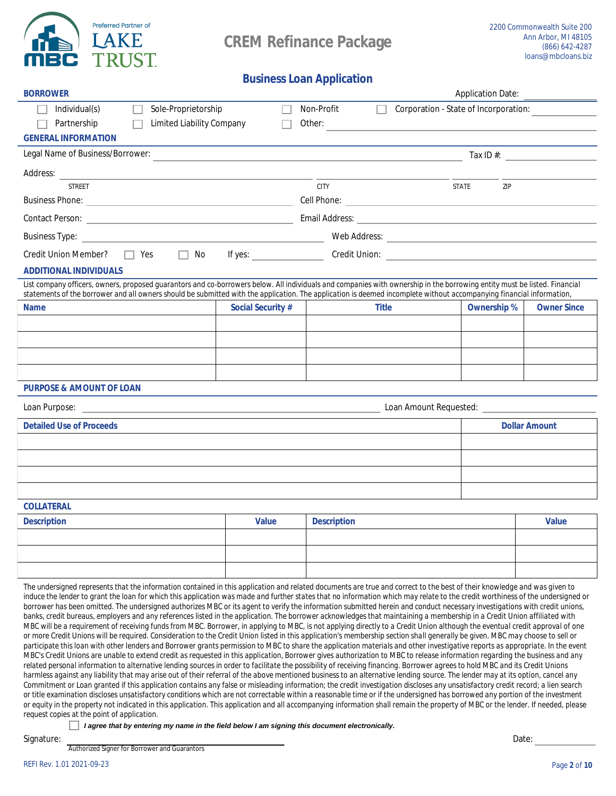

**BORROWER** 

**Application Date:** 

# **Business Loan Application**

| Individual(s)<br>Sole-Proprietorship                                                                                                                                                                                                                                                                                                                            |                          | <b>Non-Profit</b>                                                  | <b>Corporation - State of Incorporation:</b> |                      |
|-----------------------------------------------------------------------------------------------------------------------------------------------------------------------------------------------------------------------------------------------------------------------------------------------------------------------------------------------------------------|--------------------------|--------------------------------------------------------------------|----------------------------------------------|----------------------|
| <b>Limited Liability Company</b><br>Partnership                                                                                                                                                                                                                                                                                                                 |                          | Other:                                                             |                                              |                      |
| <b>GENERAL INFORMATION</b>                                                                                                                                                                                                                                                                                                                                      |                          |                                                                    |                                              |                      |
| <b>Legal Name of Business/Borrower:</b>                                                                                                                                                                                                                                                                                                                         |                          |                                                                    | Tax $\mathbb{D}$ #:                          |                      |
| Address:                                                                                                                                                                                                                                                                                                                                                        |                          |                                                                    |                                              |                      |
| <b>STREET</b>                                                                                                                                                                                                                                                                                                                                                   |                          | <b>CITY</b>                                                        | <b>STATE</b><br>ZIP                          |                      |
|                                                                                                                                                                                                                                                                                                                                                                 |                          | <b>Cell Phone:</b><br>the control of the control of the control of |                                              |                      |
|                                                                                                                                                                                                                                                                                                                                                                 |                          |                                                                    |                                              |                      |
| <b>Business Type:</b> <u>Department</u> of the contract of the contract of the contract of the contract of the contract of the contract of the contract of the contract of the contract of the contract of the contract of the contract                                                                                                                         |                          |                                                                    |                                              |                      |
| $\Box$<br>No<br>$\Box$ Yes<br><b>Credit Union Member?</b>                                                                                                                                                                                                                                                                                                       | If yes: $\qquad \qquad$  |                                                                    |                                              |                      |
| ADDITONAL INDIVIDUALS                                                                                                                                                                                                                                                                                                                                           |                          |                                                                    |                                              |                      |
| List company officers, owners, proposed guarantors and co-borrowers below. All individuals and companies with ownership in the borrowing entity must be listed. Financial<br>statements of the borrower and all owners should be submitted with the application. The application is deemed incomplete without accompanying financial information,               |                          |                                                                    |                                              |                      |
| <b>Name</b>                                                                                                                                                                                                                                                                                                                                                     | <b>Social Security #</b> | <b>Title</b>                                                       | <b>Ownership %</b>                           | <b>Owner Since</b>   |
|                                                                                                                                                                                                                                                                                                                                                                 |                          |                                                                    |                                              |                      |
|                                                                                                                                                                                                                                                                                                                                                                 |                          |                                                                    |                                              |                      |
|                                                                                                                                                                                                                                                                                                                                                                 |                          |                                                                    |                                              |                      |
|                                                                                                                                                                                                                                                                                                                                                                 |                          |                                                                    |                                              |                      |
| <b>PURPOSE &amp; AMOUNT OF LOAN</b>                                                                                                                                                                                                                                                                                                                             |                          |                                                                    |                                              |                      |
| Loan Purpose: <u>the contract of the contract of the contract of the contract of the contract of the contract of the contract of the contract of the contract of the contract of the contract of the contract of the contract of</u>                                                                                                                            |                          |                                                                    |                                              |                      |
| <b>Detailed Use of Proceeds</b>                                                                                                                                                                                                                                                                                                                                 |                          |                                                                    |                                              | <b>Dollar Amount</b> |
|                                                                                                                                                                                                                                                                                                                                                                 |                          |                                                                    |                                              |                      |
|                                                                                                                                                                                                                                                                                                                                                                 |                          |                                                                    |                                              |                      |
|                                                                                                                                                                                                                                                                                                                                                                 |                          |                                                                    |                                              |                      |
|                                                                                                                                                                                                                                                                                                                                                                 |                          |                                                                    |                                              |                      |
| <b>COLLATERAL</b>                                                                                                                                                                                                                                                                                                                                               |                          |                                                                    |                                              |                      |
| <b>Description</b>                                                                                                                                                                                                                                                                                                                                              | <b>Value</b>             | <b>Description</b>                                                 |                                              | <b>Value</b>         |
|                                                                                                                                                                                                                                                                                                                                                                 |                          |                                                                    |                                              |                      |
|                                                                                                                                                                                                                                                                                                                                                                 |                          |                                                                    |                                              |                      |
|                                                                                                                                                                                                                                                                                                                                                                 |                          |                                                                    |                                              |                      |
| The undersigned represents that the information contained in this application and related documents are true and correct to the best of their knowledge and was given to                                                                                                                                                                                        |                          |                                                                    |                                              |                      |
| induce the lender to grant the loan for which this application was made and further states that no information which may relate to the credit worthiness of the undersigned or<br>borrower has been omitted. The undersigned authorizes MBC or its agent to verify the information submitted herein and conduct necessary investigations with credit unions,    |                          |                                                                    |                                              |                      |
| banks, credit bureaus, employers and any references listed in the application. The borrower acknowledges that maintaining a membership in a Credit Union affiliated with                                                                                                                                                                                        |                          |                                                                    |                                              |                      |
| MBC will be a requirement of receiving funds from MBC. Borrower, in applying to MBC, is not applying directly to a Credit Union although the eventual credit approval of one<br>or more Credit Unions will be required. Consideration to the Credit Union listed in this application's membership section shall generally be given. MBC may choose to sell or   |                          |                                                                    |                                              |                      |
| participate this loan with other lenders and Borrower grants permission to MBC to share the application materials and other investigative reports as appropriate. In the event                                                                                                                                                                                  |                          |                                                                    |                                              |                      |
| MBC's Credit Unions are unable to extend credit as requested in this application, Borrower gives authorization to MBC to release information regarding the business and any<br>related personal information to alternative lending sources in order to facilitate the possibility of receiving financing. Borrower agrees to hold MBC and its Credit Unions     |                          |                                                                    |                                              |                      |
| harmless against any liability that may arise out of their referral of the above mentioned business to an alternative lending source. The lender may at its option, cancel any                                                                                                                                                                                  |                          |                                                                    |                                              |                      |
| Commitment or Loan granted if this application contains any false or misleading information; the credit investigation discloses any unsatisfactory credit record; a lien search<br>or title examination discloses unsatisfactory conditions which are not correctable within a reasonable time or if the undersigned has borrowed any portion of the investment |                          |                                                                    |                                              |                      |

or equity in the property not indicated in this application. This application and all accompanying information shall remain the property of MBC or the lender. If needed, please request copies at the point of application.

I agree that by entering my name in the field below I am signing this document electronically.

Signature:

**Authorized Signer for Borrower and Guarantors** 

Date: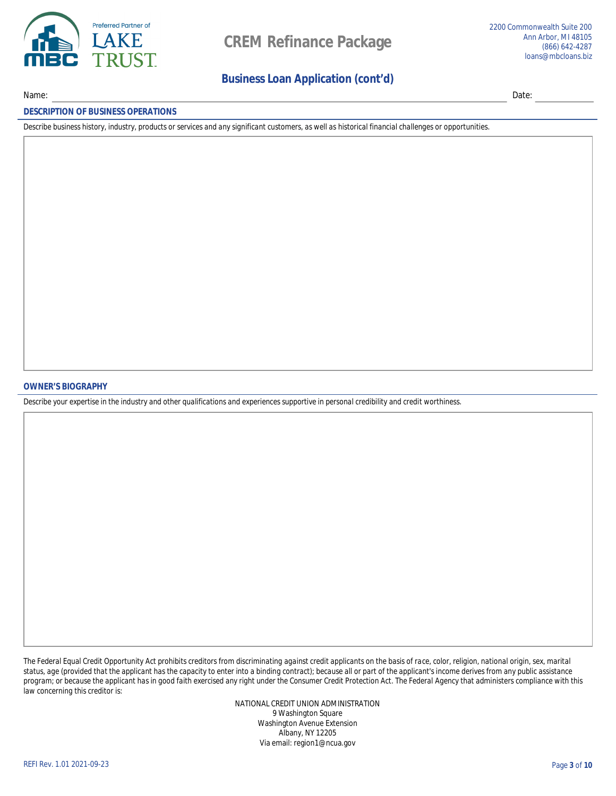

Name:

### **Business Loan Application (cont'd)**

Date:

#### **DESCRIPTION OF BUSINESS OPERATIONS**

Describe business history, industry, products or services and any significant customers, as well as historical financial challenges or opportunities.

#### **OWNER'S BIOGRAPHY**

Describe your expertise in the industry and other qualifications and experiences supportive in personal credibility and credit worthiness.

The Federal Equal Credit Opportunity Act prohibits creditors from discriminating against credit applicants on the basis of race, color, religion, national origin, sex, marital status, age (provided that the applicant has the capacity to enter into a binding contract); because all or part of the applicant's income derives from any public assistance program; or because the applicant has in good faith exercised any right under the Consumer Credit Protection Act. The Federal Agency that administers compliance with this law concerning this creditor is:

> NATIONAL CREDIT UNION ADMINISTRATION 9 Washington Square **Washington Avenue Extension Albany, NY 12205** Via email: region1@ncua.gov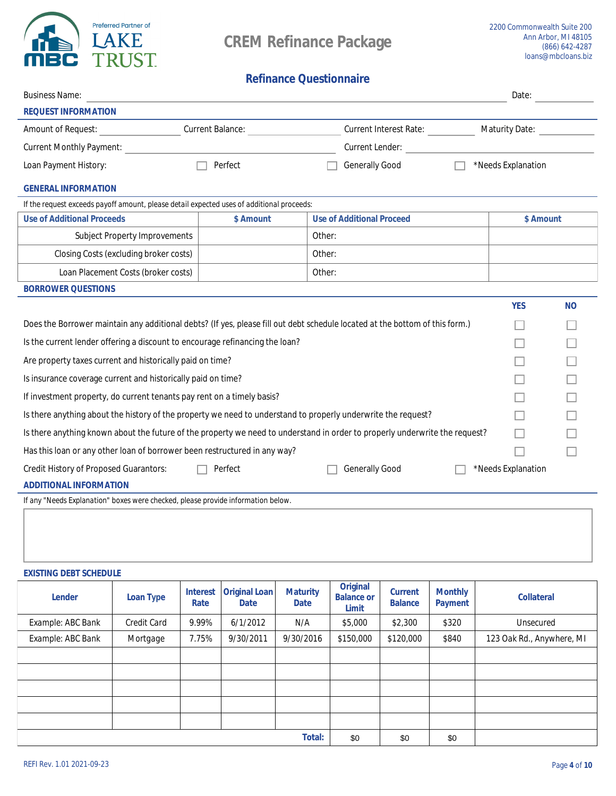

# **Refinance Questionnaire**

| <b>Business Name:</b>                                                                                                        |                         |        |                                  | Date:                 |                |
|------------------------------------------------------------------------------------------------------------------------------|-------------------------|--------|----------------------------------|-----------------------|----------------|
| <b>REQUEST INFORMATION</b>                                                                                                   |                         |        |                                  |                       |                |
| <b>Amount of Request:</b>                                                                                                    | <b>Current Balance:</b> |        | Current Interest Rate:           | <b>Maturity Date:</b> |                |
| <b>Current Monthly Payment:</b>                                                                                              |                         |        | <b>Current Lender:</b>           |                       |                |
| <b>Loan Payment History:</b>                                                                                                 | <b>Perfect</b>          |        | <b>Generally Good</b>            | *Needs Explanation    |                |
| <b>GENERAL INFORMATION</b>                                                                                                   |                         |        |                                  |                       |                |
| If the request exceeds payoff amount, please detail expected uses of additional proceeds:                                    |                         |        |                                  |                       |                |
| <b>Use of Additional Proceeds</b>                                                                                            | <b>S</b> Amount         |        | <b>Use of Additional Proceed</b> | <b>S</b> Amount       |                |
| <b>Subject Property Improvements</b>                                                                                         |                         | Other: |                                  |                       |                |
| <b>Closing Costs (excluding broker costs)</b>                                                                                |                         | Other: |                                  |                       |                |
| <b>Loan Placement Costs (broker costs)</b>                                                                                   |                         | Other: |                                  |                       |                |
| <b>BORROWER QUESTIONS</b>                                                                                                    |                         |        |                                  |                       |                |
|                                                                                                                              |                         |        |                                  | YES                   | N <sub>0</sub> |
| Does the Borrower maintain any additional debts? (If yes, please fill out debt schedule located at the bottom of this form.) |                         |        |                                  |                       |                |
| Is the current lender offering a discount to encourage refinancing the loan?                                                 |                         |        |                                  |                       |                |
| Are property taxes current and historically paid on time?                                                                    |                         |        |                                  |                       |                |
| Is insurance coverage current and historically paid on time?                                                                 |                         |        |                                  |                       |                |
| If investment property, do current tenants pay rent on a timely basis?                                                       |                         |        |                                  |                       |                |
| Is there anything about the history of the property we need to understand to properly underwrite the request?                |                         |        |                                  |                       |                |
| Is there anything known about the future of the property we need to understand in order to properly underwrite the request?  |                         |        |                                  |                       |                |
| Has this loan or any other loan of borrower been restructured in any way?                                                    |                         |        |                                  |                       |                |
| <b>Credit History of Proposed Guarantors:</b>                                                                                | <b>Perfect</b>          |        | <b>Generally Good</b>            | *Needs Explanation    |                |
| <b>ADDITIONAL INFORMATION</b>                                                                                                |                         |        |                                  |                       |                |
| If any "Needs Explanation" boxes were checked, please provide information below.                                             |                         |        |                                  |                       |                |
|                                                                                                                              |                         |        |                                  |                       |                |

### **EXISTING DEBT SCHEDULE**

| <b>Lender</b>            | <b>Loan Type</b>   | <b>Interest</b><br><b>Rate</b> | Original Loan<br><b>Date</b> | <b>Maturity</b><br><b>Date</b> | <b>Original</b><br><b>Balance or</b><br><b>Limit</b> | <b>Current</b><br><b>Balance</b> | <b>Monthly</b><br><b>Payment</b> | <b>Collateral</b>         |
|--------------------------|--------------------|--------------------------------|------------------------------|--------------------------------|------------------------------------------------------|----------------------------------|----------------------------------|---------------------------|
| <b>Example: ABC Bank</b> | <b>Credit Card</b> | $9.99\%$                       | 6/1/2012                     | N/A                            | \$5,000                                              | \$2,300                          | <b>\$320</b>                     | <b>Unsecured</b>          |
| <b>Example: ABC Bank</b> | <b>Mortgage</b>    | 7.75%                          | 9/30/2011                    | 9/30/2016                      | \$150,000                                            | \$120,000                        | <b>\$840</b>                     | 123 Oak Rd., Anywhere, MI |
|                          |                    |                                |                              |                                |                                                      |                                  |                                  |                           |
|                          |                    |                                |                              |                                |                                                      |                                  |                                  |                           |
|                          |                    |                                |                              |                                |                                                      |                                  |                                  |                           |
|                          |                    |                                |                              |                                |                                                      |                                  |                                  |                           |
|                          |                    |                                |                              |                                |                                                      |                                  |                                  |                           |
|                          |                    |                                |                              | <b>Total:</b>                  | \$0                                                  | \$0                              | \$0                              |                           |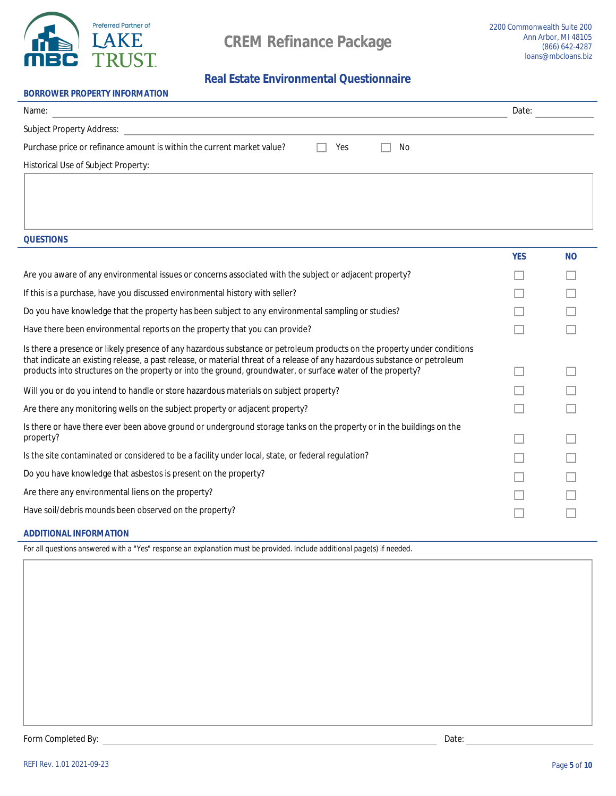

# **Real Estate Environmental Questionnaire**

| <b>BORROWER PROPERTY INFORMATION</b>                                   |     |    |       |
|------------------------------------------------------------------------|-----|----|-------|
| Name:                                                                  |     |    | Date: |
| <b>Subject Property Address:</b>                                       |     |    |       |
| Purchase price or refinance amount is within the current market value? | Yes | No |       |
| <b>Historical Use of Subject Property:</b>                             |     |    |       |

**QUESTIONS** 

|                                                                                                                                                                                                                                           | YES | N <sub>0</sub> |
|-------------------------------------------------------------------------------------------------------------------------------------------------------------------------------------------------------------------------------------------|-----|----------------|
| Are you aware of any environmental issues or concerns associated with the subject or adjacent property?                                                                                                                                   |     |                |
| If this is a purchase, have you discussed environmental history with seller?                                                                                                                                                              |     |                |
| Do you have knowledge that the property has been subject to any environmental sampling or studies?                                                                                                                                        |     |                |
| Have there been environmental reports on the property that you can provide?                                                                                                                                                               |     |                |
| Is there a presence or likely presence of any hazardous substance or petroleum products on the property under conditions                                                                                                                  |     |                |
| that indicate an existing release, a past release, or material threat of a release of any hazardous substance or petroleum<br>products into structures on the property or into the ground, groundwater, or surface water of the property? |     |                |
| Will you or do you intend to handle or store hazardous materials on subject property?                                                                                                                                                     |     |                |
| Are there any monitoring wells on the subject property or adjacent property?                                                                                                                                                              |     |                |
| Is there or have there ever been above ground or underground storage tanks on the property or in the buildings on the                                                                                                                     |     |                |
| property?                                                                                                                                                                                                                                 |     |                |
| Is the site contaminated or considered to be a facility under local, state, or federal regulation?                                                                                                                                        |     |                |
| Do you have knowledge that asbestos is present on the property?                                                                                                                                                                           |     |                |
| Are there any environmental liens on the property?                                                                                                                                                                                        |     |                |
| Have soil/debris mounds been observed on the property?                                                                                                                                                                                    |     |                |
|                                                                                                                                                                                                                                           |     |                |

### **ADDITIONAL INFORMATION**

For all questions answered with a "Yes" response an explanation must be provided. Include additional page(s) if needed.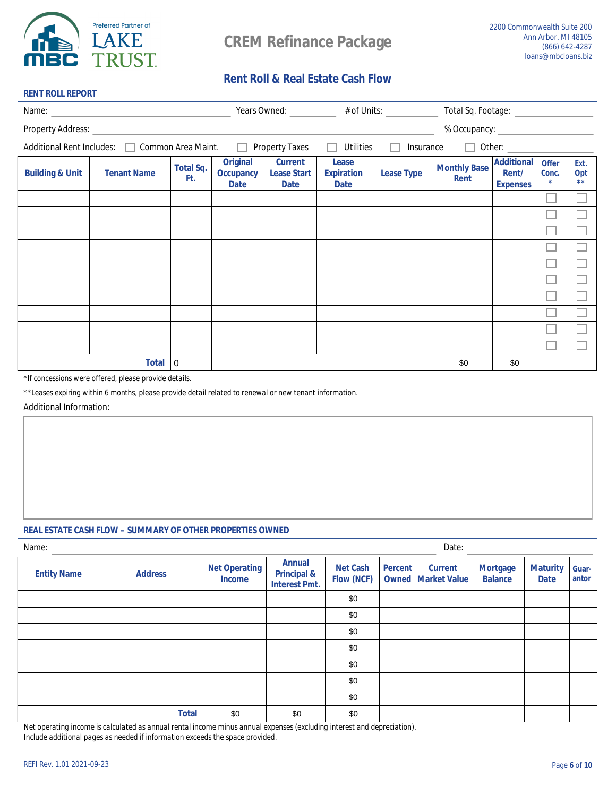

**RENT ROLL REPORT** 

# **Rent Roll & Real Estate Cash Flow**

| Name:                      |                                                |                         |                                                    |                                                     |                                                  | Years Owned: # of Units: | Total Sq. Footage: ___________     |                                               |                                        |                     |
|----------------------------|------------------------------------------------|-------------------------|----------------------------------------------------|-----------------------------------------------------|--------------------------------------------------|--------------------------|------------------------------------|-----------------------------------------------|----------------------------------------|---------------------|
| <b>Property Address:</b>   |                                                |                         |                                                    |                                                     |                                                  |                          | % Occupancy:                       |                                               |                                        |                     |
|                            | Additional Rent Includes:   Common Area Maint. |                         | $\Box$                                             | <b>Property Taxes</b>                               | <b>Utilities</b>                                 | <b>Insurance</b>         | $\Box$                             | Other:                                        |                                        |                     |
| <b>Building &amp; Unit</b> | <b>Tenant Name</b>                             | <b>Total Sq.</b><br>Ft. | <b>Original</b><br><b>Occupancy</b><br><b>Date</b> | <b>Current</b><br><b>Lease Start</b><br><b>Date</b> | <b>Lease</b><br><b>Expiration</b><br><b>Date</b> | <b>Lease Type</b>        | <b>Monthly Base</b><br><b>Rent</b> | <b>Additional</b><br>Rent/<br><b>Expenses</b> | <b>Offer</b><br>Conc.<br>$\frac{1}{2}$ | Ext.<br>Opt<br>$**$ |
|                            |                                                |                         |                                                    |                                                     |                                                  |                          |                                    |                                               |                                        |                     |
|                            |                                                |                         |                                                    |                                                     |                                                  |                          |                                    |                                               |                                        |                     |
|                            |                                                |                         |                                                    |                                                     |                                                  |                          |                                    |                                               |                                        |                     |
|                            |                                                |                         |                                                    |                                                     |                                                  |                          |                                    |                                               |                                        |                     |
|                            |                                                |                         |                                                    |                                                     |                                                  |                          |                                    |                                               |                                        |                     |
|                            |                                                |                         |                                                    |                                                     |                                                  |                          |                                    |                                               |                                        |                     |
|                            |                                                |                         |                                                    |                                                     |                                                  |                          |                                    |                                               |                                        |                     |
|                            |                                                |                         |                                                    |                                                     |                                                  |                          |                                    |                                               |                                        |                     |
|                            |                                                |                         |                                                    |                                                     |                                                  |                          |                                    |                                               |                                        |                     |
|                            |                                                |                         |                                                    |                                                     |                                                  |                          |                                    |                                               |                                        |                     |
|                            | <b>Total</b>                                   | 10                      |                                                    |                                                     |                                                  |                          | \$0                                | \$0                                           |                                        |                     |

\*If concessions were offered, please provide details.

\*\*Leases expiring within 6 months, please provide detail related to renewal or new tenant information.

**Additional Information:** 

### **REAL ESTATE CASH FLOW - SUMMARY OF OTHER PROPERTIES OWNED**

| Name:              | Date:          |                                       |                                                                 |                                      |                |                                               |                                   |                                |                       |
|--------------------|----------------|---------------------------------------|-----------------------------------------------------------------|--------------------------------------|----------------|-----------------------------------------------|-----------------------------------|--------------------------------|-----------------------|
| <b>Entity Name</b> | <b>Address</b> | <b>Net Operating</b><br><b>Income</b> | <b>Annual</b><br><b>Principal &amp;</b><br><b>Interest Pmt.</b> | <b>Net Cash</b><br><b>Flow (NCF)</b> | <b>Percent</b> | <b>Current</b><br><b>Owned   Market Value</b> | <b>Mortgage</b><br><b>Balance</b> | <b>Maturity</b><br><b>Date</b> | <b>Guar-</b><br>antor |
|                    |                |                                       |                                                                 | \$0                                  |                |                                               |                                   |                                |                       |
|                    |                |                                       |                                                                 | \$0                                  |                |                                               |                                   |                                |                       |
|                    |                |                                       |                                                                 | \$0                                  |                |                                               |                                   |                                |                       |
|                    |                |                                       |                                                                 | \$0                                  |                |                                               |                                   |                                |                       |
|                    |                |                                       |                                                                 | \$0                                  |                |                                               |                                   |                                |                       |
|                    |                |                                       |                                                                 | \$0                                  |                |                                               |                                   |                                |                       |
|                    |                |                                       |                                                                 | \$0                                  |                |                                               |                                   |                                |                       |
|                    | <b>Total</b>   | \$0                                   | \$0                                                             | \$0                                  |                |                                               |                                   |                                |                       |

Net operating income is calculated as annual rental income minus annual expenses (excluding interest and depreciation).

Include additional pages as needed if information exceeds the space provided.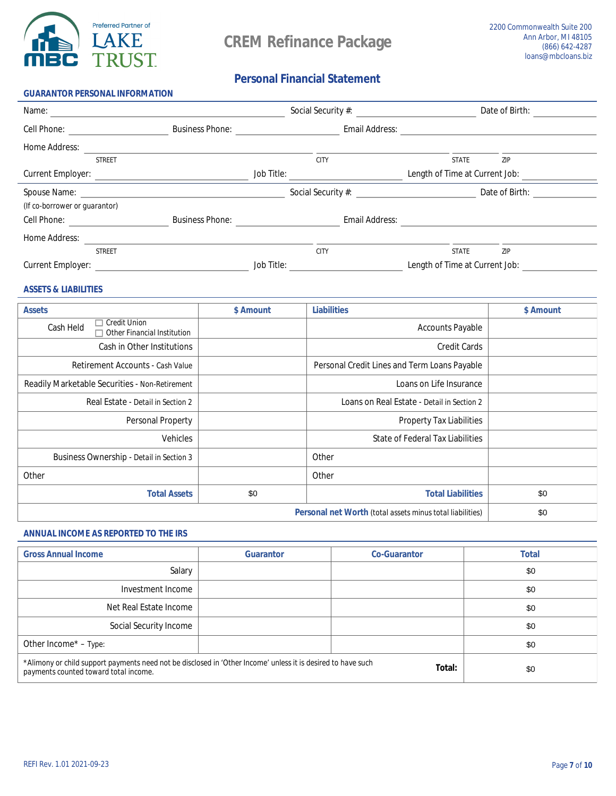

### **Personal Financial Statement**

| <b>GUARANTOR PERSONAL INFORMATION</b>                                                                                                                                                                                          |                        |                   |                           |                                       |                |
|--------------------------------------------------------------------------------------------------------------------------------------------------------------------------------------------------------------------------------|------------------------|-------------------|---------------------------|---------------------------------------|----------------|
| Name:                                                                                                                                                                                                                          |                        |                   | <b>Social Security #:</b> |                                       | Date of Birth: |
| <b>Cell Phone:</b>                                                                                                                                                                                                             | <b>Business Phone:</b> |                   | <b>Email Address:</b>     |                                       |                |
| <b>Home Address:</b>                                                                                                                                                                                                           |                        |                   |                           |                                       |                |
| <b>STREET</b>                                                                                                                                                                                                                  |                        |                   | <b>CITY</b>               | <b>STATE</b>                          | ZIP            |
| <b>Current Employer:</b>                                                                                                                                                                                                       |                        | <b>Job Title:</b> |                           | <b>Length of Time at Current Job:</b> |                |
| Spouse Name: Name: Name: Name: Name: Name: Name: Name: Name: Name: Name: Name: Name: Name: Name: Name: Name: Name: Name: Name: Name: Name: Name: Name: Name: Name: Name: Name: Name: Name: Name: Name: Name: Name: Name: Name: |                        |                   | Social Security #:        |                                       | Date of Birth: |
| (If co-borrower or guarantor)                                                                                                                                                                                                  |                        |                   |                           |                                       |                |
| <b>Cell Phone:</b>                                                                                                                                                                                                             | <b>Business Phone:</b> |                   | <b>Email Address:</b>     |                                       |                |
| <b>Home Address:</b>                                                                                                                                                                                                           |                        |                   |                           |                                       |                |
| <b>STREET</b>                                                                                                                                                                                                                  |                        |                   | <b>CITY</b>               | <b>STATE</b>                          | <b>ZIP</b>     |
| <b>Current Employer:</b>                                                                                                                                                                                                       |                        | <b>Job Title:</b> |                           | Length of Time at Current Job:        |                |

### **ASSETS & LIABILITIES**

| <b>Assets</b>                                                                 | \$ Amount | <b>Liabilities</b>                                  | \$ Amount |
|-------------------------------------------------------------------------------|-----------|-----------------------------------------------------|-----------|
| <b>Credit Union</b><br><b>Cash Held</b><br><b>Other Financial Institution</b> |           | <b>Accounts Payable</b>                             |           |
| <b>Cash in Other Institutions</b>                                             |           | <b>Credit Cards</b>                                 |           |
| <b>Retirement Accounts - Cash Value</b>                                       |           | <b>Personal Credit Lines and Term Loans Payable</b> |           |
| <b>Readily Marketable Securities - Non-Retirement</b>                         |           | Loans on Life Insurance                             |           |
| Real Estate - Detail in Section 2                                             |           | Loans on Real Estate - Detail in Section 2          |           |
| <b>Personal Property</b>                                                      |           | <b>Property Tax Liabilities</b>                     |           |
| <b>Vehicles</b>                                                               |           | <b>State of Federal Tax Liabilities</b>             |           |
| <b>Business Ownership - Detail in Section 3</b>                               |           | <b>Other</b>                                        |           |
| <b>Other</b>                                                                  |           | <b>Other</b>                                        |           |
| <b>Total Assets</b>                                                           | \$0       | <b>Total Liabilities</b>                            | \$0       |
|                                                                               | \$0       |                                                     |           |

### **ANNUAL INCOME AS REPORTED TO THE IRS**

| <b>Gross Annual Income</b>                                                                                                                            | <b>Guarantor</b> | <b>Co-Guarantor</b> | <b>Total</b> |
|-------------------------------------------------------------------------------------------------------------------------------------------------------|------------------|---------------------|--------------|
| <b>Salary</b>                                                                                                                                         |                  |                     | \$0          |
| Investment Income                                                                                                                                     |                  |                     | \$0          |
| <b>Net Real Estate Income</b>                                                                                                                         |                  |                     | \$0          |
| <b>Social Security Income</b>                                                                                                                         |                  |                     | \$0          |
| Other Income* - Type:                                                                                                                                 |                  |                     | \$0          |
| *Alimony or child support payments need not be disclosed in 'Other Income' unless it is desired to have such<br>payments counted toward total income. | \$0              |                     |              |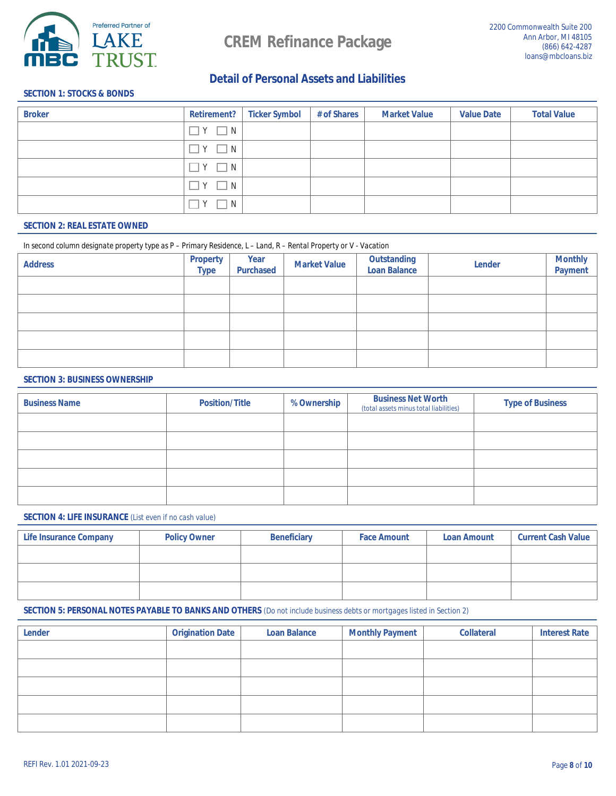

### **Detail of Personal Assets and Liabilities**

### **SECTION 1: STOCKS & BONDS**

| <b>Broker</b> | <b>Retirement?</b> | <b>Ticker Symbol</b> | # of Shares | <b>Market Value</b> | <b>Value Date</b> | <b>Total Value</b> |
|---------------|--------------------|----------------------|-------------|---------------------|-------------------|--------------------|
|               | $\exists Y \Box N$ |                      |             |                     |                   |                    |
|               | $\exists Y \Box N$ |                      |             |                     |                   |                    |
|               | $Y \Box N$         |                      |             |                     |                   |                    |
|               | $Y \square N$      |                      |             |                     |                   |                    |
|               | Y<br>$\Box$ N      |                      |             |                     |                   |                    |

### **SECTION 2: REAL ESTATE OWNED**

#### In second column designate property type as P - Primary Residence, L - Land, R - Rental Property or V - Vacation

| <b>Address</b> | <b>Property</b><br><b>Type</b> | <b>Year</b><br><b>Purchased</b> | <b>Market Value</b> | <b>Outstanding<br/>Loan Balance</b> | <b>Lender</b> | <b>Monthly<br/>Payment</b> |
|----------------|--------------------------------|---------------------------------|---------------------|-------------------------------------|---------------|----------------------------|
|                |                                |                                 |                     |                                     |               |                            |
|                |                                |                                 |                     |                                     |               |                            |
|                |                                |                                 |                     |                                     |               |                            |
|                |                                |                                 |                     |                                     |               |                            |
|                |                                |                                 |                     |                                     |               |                            |

#### **SECTION 3: BUSINESS OWNERSHIP**

| <b>Business Name</b> | <b>Position/Title</b> | % Ownership | <b>Business Net Worth</b><br>(total assets minus total liabilities) | <b>Type of Business</b> |  |
|----------------------|-----------------------|-------------|---------------------------------------------------------------------|-------------------------|--|
|                      |                       |             |                                                                     |                         |  |
|                      |                       |             |                                                                     |                         |  |
|                      |                       |             |                                                                     |                         |  |
|                      |                       |             |                                                                     |                         |  |
|                      |                       |             |                                                                     |                         |  |

### **SECTION 4: LIFE INSURANCE** (List even if no cash value)

| <b>Life Insurance Company</b> | <b>Policy Owner</b> | <b>Beneficiary</b> | <b>Face Amount</b> | <b>Loan Amount</b> | <b>Current Cash Value</b> |
|-------------------------------|---------------------|--------------------|--------------------|--------------------|---------------------------|
|                               |                     |                    |                    |                    |                           |
|                               |                     |                    |                    |                    |                           |
|                               |                     |                    |                    |                    |                           |

### **SECTION 5: PERSONAL NOTES PAYABLE TO BANKS AND OTHERS** (Do not include business debts or mortgages listed in Section 2)

| <b>Lender</b> | <b>Origination Date</b> | <b>Loan Balance</b> | <b>Monthly Payment</b> | <b>Collateral</b> | <b>Interest Rate</b> |
|---------------|-------------------------|---------------------|------------------------|-------------------|----------------------|
|               |                         |                     |                        |                   |                      |
|               |                         |                     |                        |                   |                      |
|               |                         |                     |                        |                   |                      |
|               |                         |                     |                        |                   |                      |
|               |                         |                     |                        |                   |                      |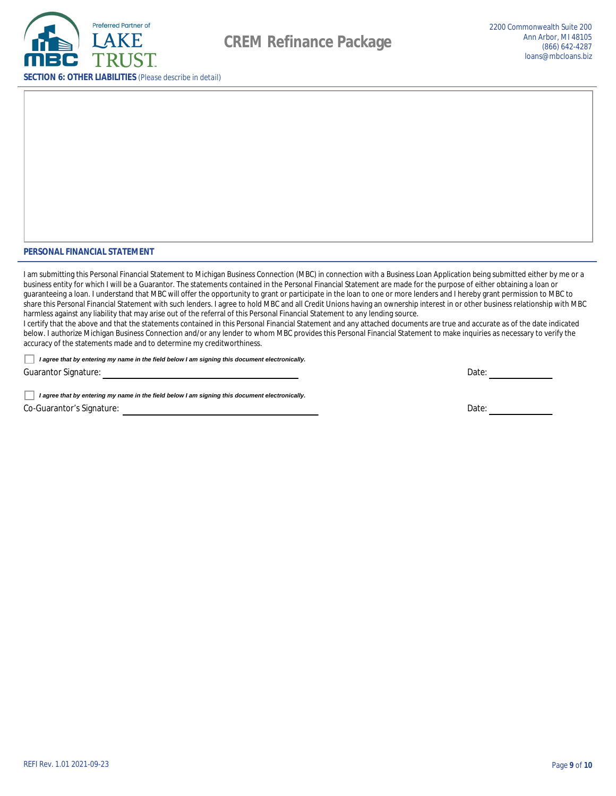

#### PERSONAL FINANCIAL STATEMENT

I am submitting this Personal Financial Statement to Michigan Business Connection (MBC) in connection with a Business Loan Application being submitted either by me or a business entity for which I will be a Guarantor. The statements contained in the Personal Financial Statement are made for the purpose of either obtaining a loan or guaranteeing a loan. I understand that MBC will offer the opportunity to grant or participate in the loan to one or more lenders and I hereby grant permission to MBC to share this Personal Financial Statement with such lenders. I agree to hold MBC and all Credit Unions having an ownership interest in or other business relationship with MBC harmless against any liability that may arise out of the referral of this Personal Financial Statement to any lending source.

I certify that the above and that the statements contained in this Personal Financial Statement and any attached documents are true and accurate as of the date indicated below. I authorize Michigan Business Connection and/or any lender to whom MBC provides this Personal Financial Statement to make inquiries as necessary to verify the accuracy of the statements made and to determine my creditworthiness.

I agree that by entering my name in the field below I am signing this document electronically.

**Guarantor Signature:** 

I agree that by entering my name in the field below I am signing this document electronically. **Co-Guarantor's Signature:** 

Date:

Date: